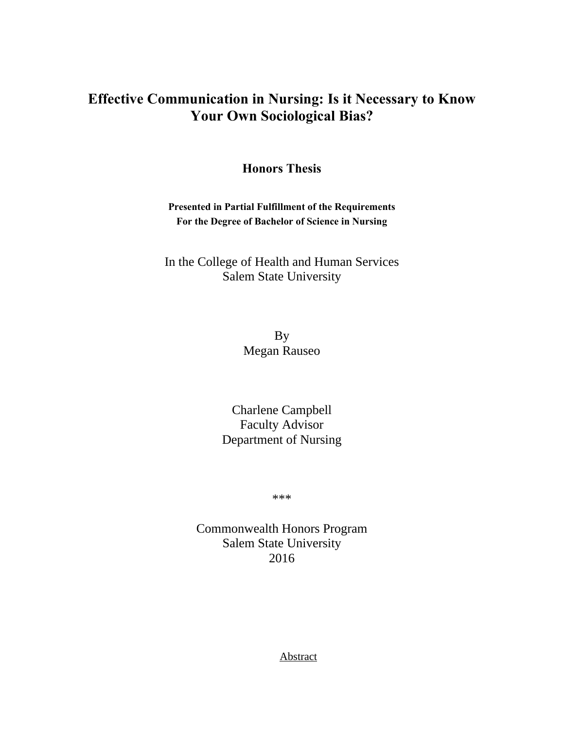# **Effective Communication in Nursing: Is it Necessary to Know Your Own Sociological Bias?**

**Honors Thesis**

**Presented in Partial Fulfillment of the Requirements For the Degree of Bachelor of Science in Nursing**

In the College of Health and Human Services Salem State University

> By Megan Rauseo

Charlene Campbell Faculty Advisor Department of Nursing

\*\*\*

Commonwealth Honors Program Salem State University 2016

**Abstract**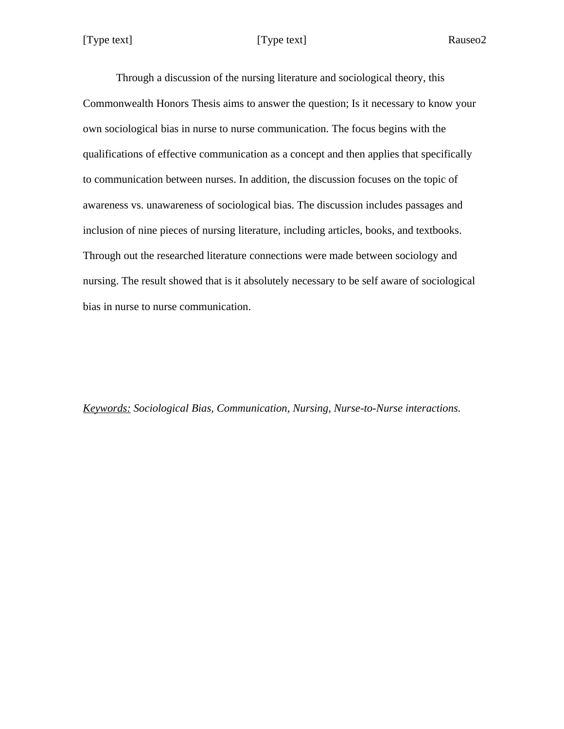Rauseo<sub>2</sub>

Through a discussion of the nursing literature and sociological theory, this Commonwealth Honors Thesis aims to answer the question; Is it necessary to know your own sociological bias in nurse to nurse communication. The focus begins with the qualifications of effective communication as a concept and then applies that specifically to communication between nurses. In addition, the discussion focuses on the topic of awareness vs. unawareness of sociological bias. The discussion includes passages and inclusion of nine pieces of nursing literature, including articles, books, and textbooks. Through out the researched literature connections were made between sociology and nursing. The result showed that is it absolutely necessary to be self aware of sociological bias in nurse to nurse communication.

*Keywords: Sociological Bias, Communication, Nursing, Nurse-to-Nurse interactions.*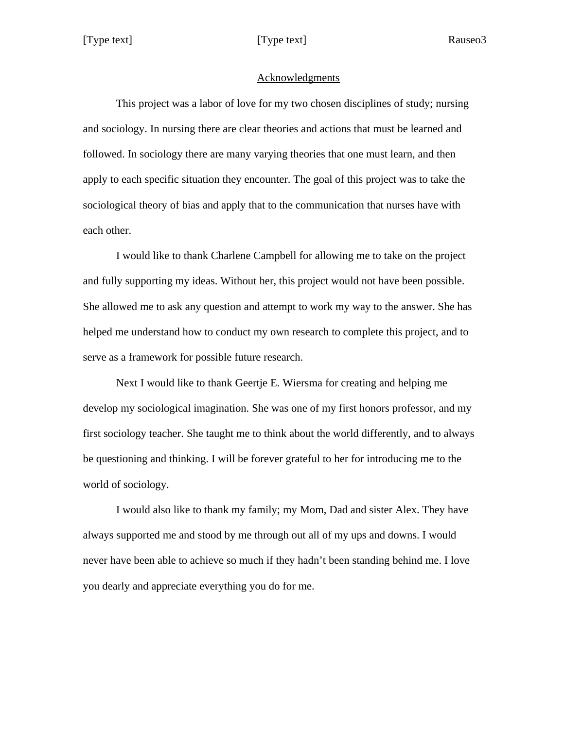### Acknowledgments

This project was a labor of love for my two chosen disciplines of study; nursing and sociology. In nursing there are clear theories and actions that must be learned and followed. In sociology there are many varying theories that one must learn, and then apply to each specific situation they encounter. The goal of this project was to take the sociological theory of bias and apply that to the communication that nurses have with each other.

I would like to thank Charlene Campbell for allowing me to take on the project and fully supporting my ideas. Without her, this project would not have been possible. She allowed me to ask any question and attempt to work my way to the answer. She has helped me understand how to conduct my own research to complete this project, and to serve as a framework for possible future research.

Next I would like to thank Geertje E. Wiersma for creating and helping me develop my sociological imagination. She was one of my first honors professor, and my first sociology teacher. She taught me to think about the world differently, and to always be questioning and thinking. I will be forever grateful to her for introducing me to the world of sociology.

I would also like to thank my family; my Mom, Dad and sister Alex. They have always supported me and stood by me through out all of my ups and downs. I would never have been able to achieve so much if they hadn't been standing behind me. I love you dearly and appreciate everything you do for me.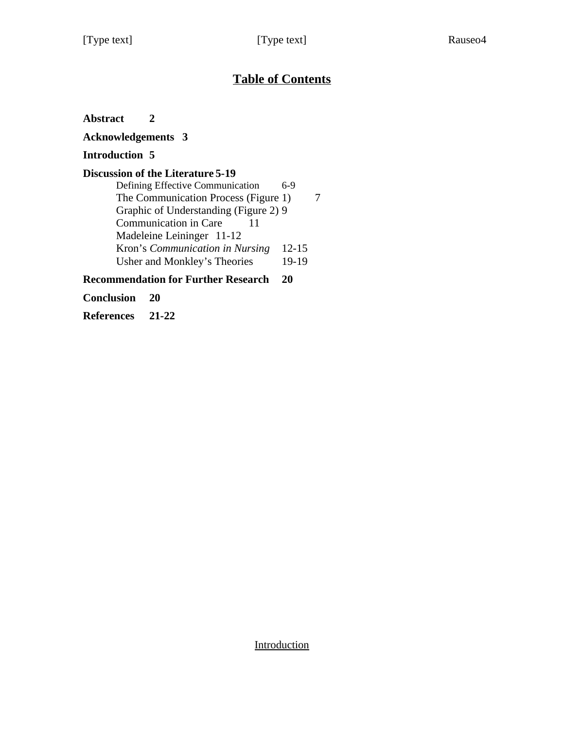# **Table of Contents**

**Abstract 2**

**Acknowledgements 3**

## **Introduction 5**

## **Discussion of the Literature 5-19**

| Defining Effective Communication      | 6-9       |  |
|---------------------------------------|-----------|--|
| The Communication Process (Figure 1)  |           |  |
| Graphic of Understanding (Figure 2) 9 |           |  |
| Communication in Care<br>11           |           |  |
| Madeleine Leininger 11-12             |           |  |
| Kron's Communication in Nursing       | $12 - 15$ |  |
| Usher and Monkley's Theories          | 19-19     |  |
|                                       |           |  |

## **Recommendation for Further Research 20**

**Conclusion 20**

**References 21-22**

**Introduction**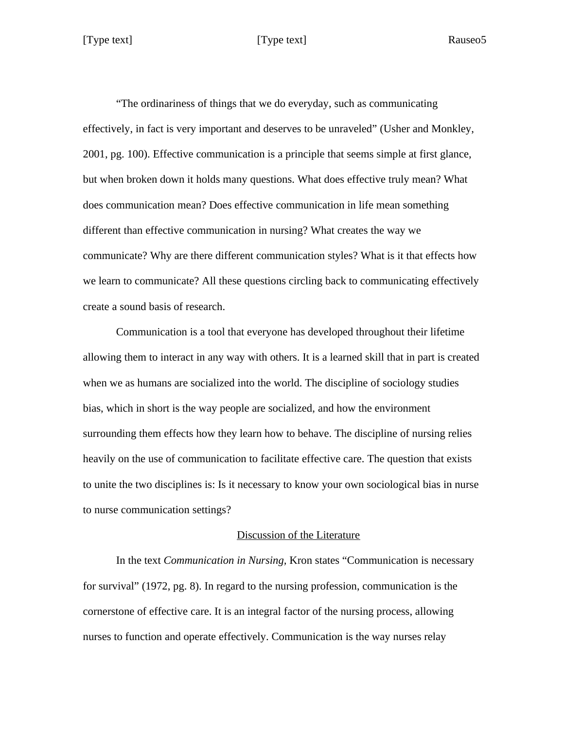Rauseo<sub>5</sub>

"The ordinariness of things that we do everyday, such as communicating effectively, in fact is very important and deserves to be unraveled" (Usher and Monkley, 2001, pg. 100). Effective communication is a principle that seems simple at first glance, but when broken down it holds many questions. What does effective truly mean? What does communication mean? Does effective communication in life mean something different than effective communication in nursing? What creates the way we communicate? Why are there different communication styles? What is it that effects how we learn to communicate? All these questions circling back to communicating effectively create a sound basis of research.

Communication is a tool that everyone has developed throughout their lifetime allowing them to interact in any way with others. It is a learned skill that in part is created when we as humans are socialized into the world. The discipline of sociology studies bias, which in short is the way people are socialized, and how the environment surrounding them effects how they learn how to behave. The discipline of nursing relies heavily on the use of communication to facilitate effective care. The question that exists to unite the two disciplines is: Is it necessary to know your own sociological bias in nurse to nurse communication settings?

### Discussion of the Literature

In the text *Communication in Nursing,* Kron states "Communication is necessary for survival" (1972, pg. 8). In regard to the nursing profession, communication is the cornerstone of effective care. It is an integral factor of the nursing process, allowing nurses to function and operate effectively. Communication is the way nurses relay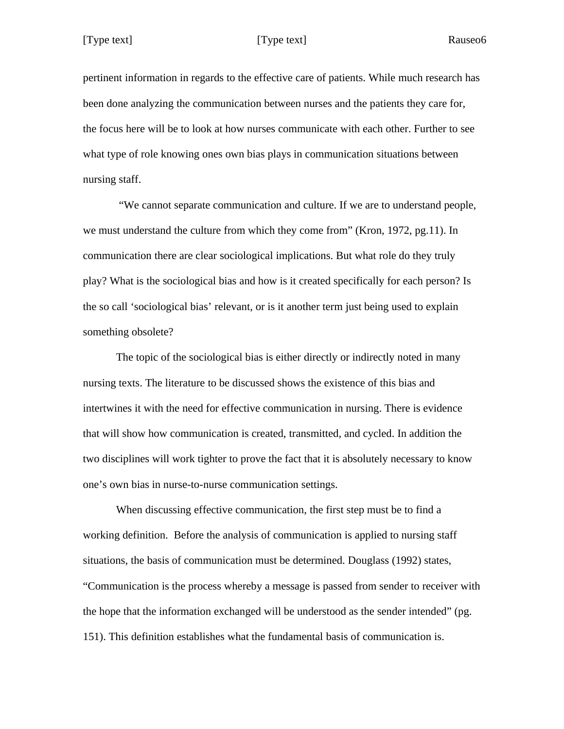Rauseo<sub>6</sub>

pertinent information in regards to the effective care of patients. While much research has been done analyzing the communication between nurses and the patients they care for, the focus here will be to look at how nurses communicate with each other. Further to see what type of role knowing ones own bias plays in communication situations between nursing staff.

"We cannot separate communication and culture. If we are to understand people, we must understand the culture from which they come from" (Kron, 1972, pg.11). In communication there are clear sociological implications. But what role do they truly play? What is the sociological bias and how is it created specifically for each person? Is the so call 'sociological bias' relevant, or is it another term just being used to explain something obsolete?

The topic of the sociological bias is either directly or indirectly noted in many nursing texts. The literature to be discussed shows the existence of this bias and intertwines it with the need for effective communication in nursing. There is evidence that will show how communication is created, transmitted, and cycled. In addition the two disciplines will work tighter to prove the fact that it is absolutely necessary to know one's own bias in nurse-to-nurse communication settings.

When discussing effective communication, the first step must be to find a working definition. Before the analysis of communication is applied to nursing staff situations, the basis of communication must be determined. Douglass (1992) states, "Communication is the process whereby a message is passed from sender to receiver with the hope that the information exchanged will be understood as the sender intended" (pg. 151). This definition establishes what the fundamental basis of communication is.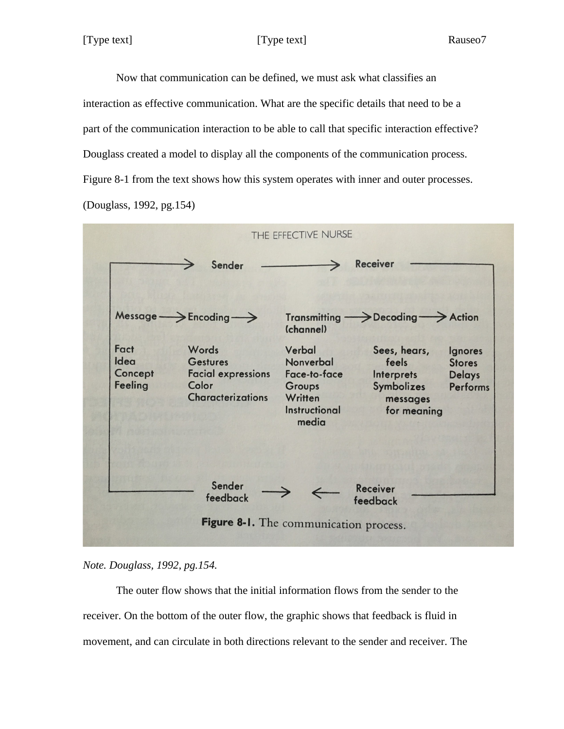Now that communication can be defined, we must ask what classifies an interaction as effective communication. What are the specific details that need to be a part of the communication interaction to be able to call that specific interaction effective? Douglass created a model to display all the components of the communication process. Figure 8-1 from the text shows how this system operates with inner and outer processes. (Douglass, 1992, pg.154)





The outer flow shows that the initial information flows from the sender to the receiver. On the bottom of the outer flow, the graphic shows that feedback is fluid in movement, and can circulate in both directions relevant to the sender and receiver. The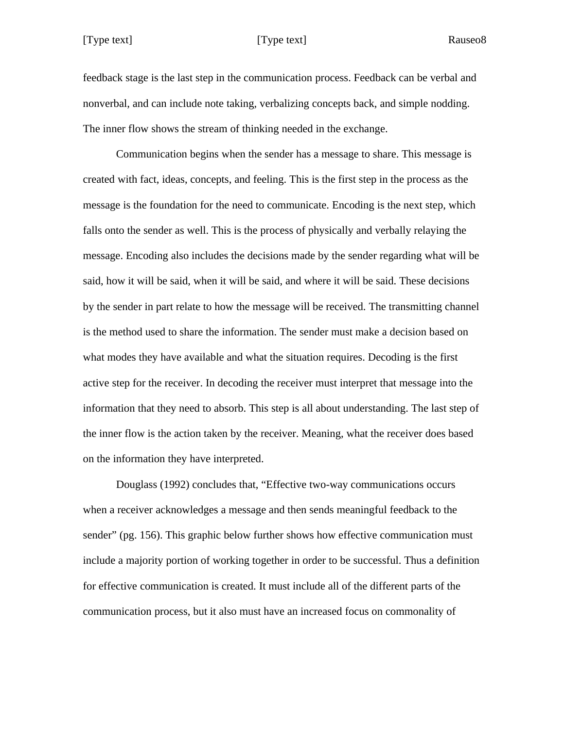Rauseo<sub>8</sub>

feedback stage is the last step in the communication process. Feedback can be verbal and nonverbal, and can include note taking, verbalizing concepts back, and simple nodding. The inner flow shows the stream of thinking needed in the exchange.

Communication begins when the sender has a message to share. This message is created with fact, ideas, concepts, and feeling. This is the first step in the process as the message is the foundation for the need to communicate. Encoding is the next step, which falls onto the sender as well. This is the process of physically and verbally relaying the message. Encoding also includes the decisions made by the sender regarding what will be said, how it will be said, when it will be said, and where it will be said. These decisions by the sender in part relate to how the message will be received. The transmitting channel is the method used to share the information. The sender must make a decision based on what modes they have available and what the situation requires. Decoding is the first active step for the receiver. In decoding the receiver must interpret that message into the information that they need to absorb. This step is all about understanding. The last step of the inner flow is the action taken by the receiver. Meaning, what the receiver does based on the information they have interpreted.

Douglass (1992) concludes that, "Effective two-way communications occurs when a receiver acknowledges a message and then sends meaningful feedback to the sender" (pg. 156). This graphic below further shows how effective communication must include a majority portion of working together in order to be successful. Thus a definition for effective communication is created. It must include all of the different parts of the communication process, but it also must have an increased focus on commonality of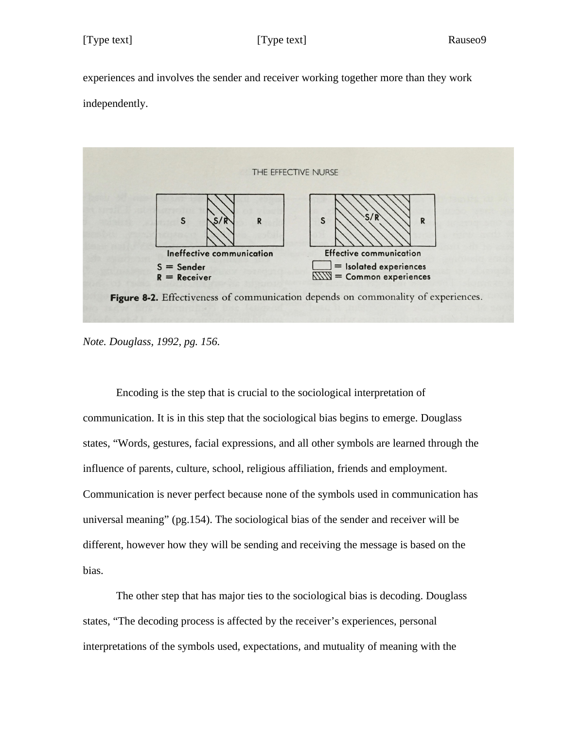experiences and involves the sender and receiver working together more than they work independently.



*Note. Douglass, 1992, pg. 156.*

Encoding is the step that is crucial to the sociological interpretation of communication. It is in this step that the sociological bias begins to emerge. Douglass states, "Words, gestures, facial expressions, and all other symbols are learned through the influence of parents, culture, school, religious affiliation, friends and employment. Communication is never perfect because none of the symbols used in communication has universal meaning" (pg.154). The sociological bias of the sender and receiver will be different, however how they will be sending and receiving the message is based on the bias.

The other step that has major ties to the sociological bias is decoding. Douglass states, "The decoding process is affected by the receiver's experiences, personal interpretations of the symbols used, expectations, and mutuality of meaning with the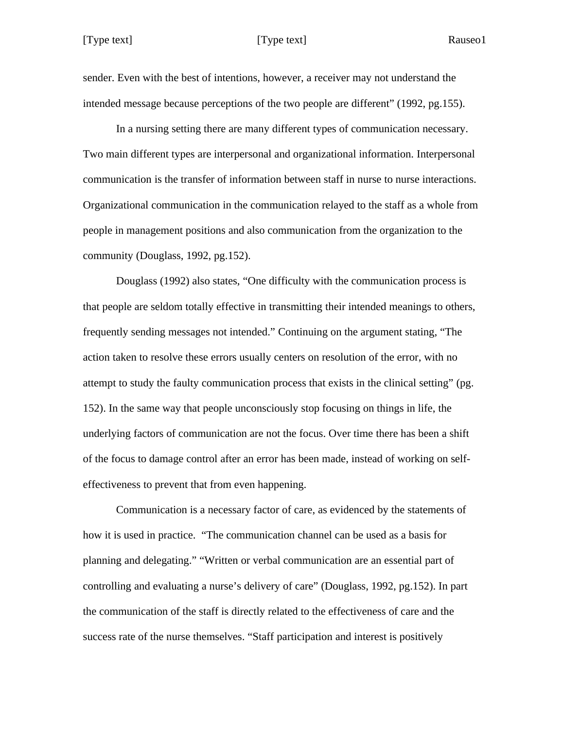sender. Even with the best of intentions, however, a receiver may not understand the intended message because perceptions of the two people are different" (1992, pg.155).

In a nursing setting there are many different types of communication necessary. Two main different types are interpersonal and organizational information. Interpersonal communication is the transfer of information between staff in nurse to nurse interactions. Organizational communication in the communication relayed to the staff as a whole from people in management positions and also communication from the organization to the community (Douglass, 1992, pg.152).

Douglass (1992) also states, "One difficulty with the communication process is that people are seldom totally effective in transmitting their intended meanings to others, frequently sending messages not intended." Continuing on the argument stating, "The action taken to resolve these errors usually centers on resolution of the error, with no attempt to study the faulty communication process that exists in the clinical setting" (pg. 152). In the same way that people unconsciously stop focusing on things in life, the underlying factors of communication are not the focus. Over time there has been a shift of the focus to damage control after an error has been made, instead of working on selfeffectiveness to prevent that from even happening.

Communication is a necessary factor of care, as evidenced by the statements of how it is used in practice. "The communication channel can be used as a basis for planning and delegating." "Written or verbal communication are an essential part of controlling and evaluating a nurse's delivery of care" (Douglass, 1992, pg.152). In part the communication of the staff is directly related to the effectiveness of care and the success rate of the nurse themselves. "Staff participation and interest is positively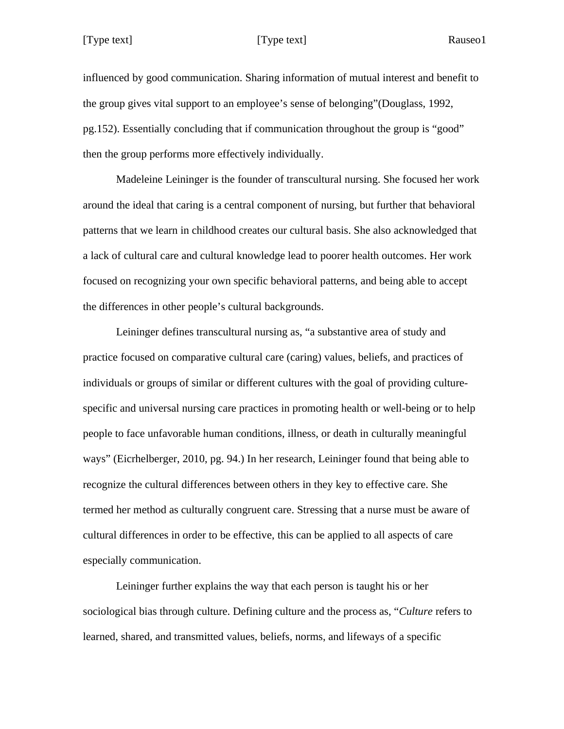influenced by good communication. Sharing information of mutual interest and benefit to the group gives vital support to an employee's sense of belonging"(Douglass, 1992, pg.152). Essentially concluding that if communication throughout the group is "good" then the group performs more effectively individually.

Madeleine Leininger is the founder of transcultural nursing. She focused her work around the ideal that caring is a central component of nursing, but further that behavioral patterns that we learn in childhood creates our cultural basis. She also acknowledged that a lack of cultural care and cultural knowledge lead to poorer health outcomes. Her work focused on recognizing your own specific behavioral patterns, and being able to accept the differences in other people's cultural backgrounds.

Leininger defines transcultural nursing as, "a substantive area of study and practice focused on comparative cultural care (caring) values, beliefs, and practices of individuals or groups of similar or different cultures with the goal of providing culturespecific and universal nursing care practices in promoting health or well-being or to help people to face unfavorable human conditions, illness, or death in culturally meaningful ways" (Eicrhelberger, 2010, pg. 94.) In her research, Leininger found that being able to recognize the cultural differences between others in they key to effective care. She termed her method as culturally congruent care. Stressing that a nurse must be aware of cultural differences in order to be effective, this can be applied to all aspects of care especially communication.

Leininger further explains the way that each person is taught his or her sociological bias through culture. Defining culture and the process as, "*Culture* refers to learned, shared, and transmitted values, beliefs, norms, and lifeways of a specific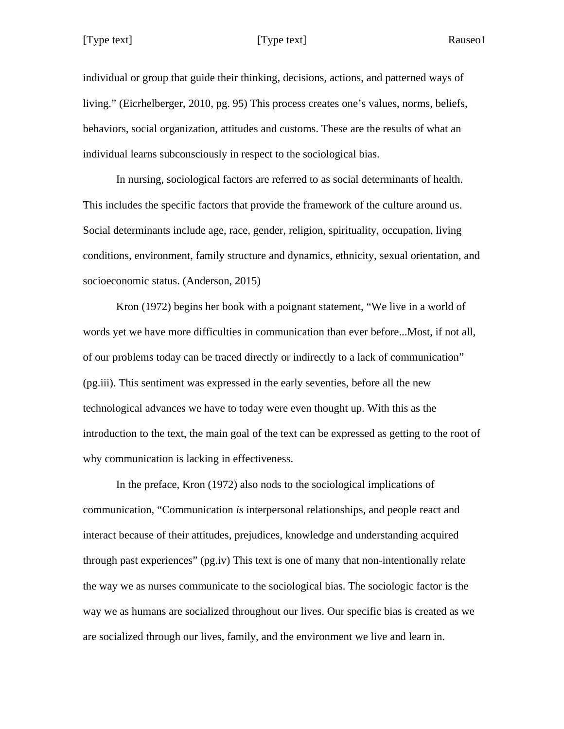individual or group that guide their thinking, decisions, actions, and patterned ways of living." (Eicrhelberger, 2010, pg. 95) This process creates one's values, norms, beliefs, behaviors, social organization, attitudes and customs. These are the results of what an individual learns subconsciously in respect to the sociological bias.

In nursing, sociological factors are referred to as social determinants of health. This includes the specific factors that provide the framework of the culture around us. Social determinants include age, race, gender, religion, spirituality, occupation, living conditions, environment, family structure and dynamics, ethnicity, sexual orientation, and socioeconomic status. (Anderson, 2015)

Kron (1972) begins her book with a poignant statement, "We live in a world of words yet we have more difficulties in communication than ever before...Most, if not all, of our problems today can be traced directly or indirectly to a lack of communication" (pg.iii). This sentiment was expressed in the early seventies, before all the new technological advances we have to today were even thought up. With this as the introduction to the text, the main goal of the text can be expressed as getting to the root of why communication is lacking in effectiveness.

In the preface, Kron (1972) also nods to the sociological implications of communication, "Communication *is* interpersonal relationships, and people react and interact because of their attitudes, prejudices, knowledge and understanding acquired through past experiences" (pg.iv) This text is one of many that non-intentionally relate the way we as nurses communicate to the sociological bias. The sociologic factor is the way we as humans are socialized throughout our lives. Our specific bias is created as we are socialized through our lives, family, and the environment we live and learn in.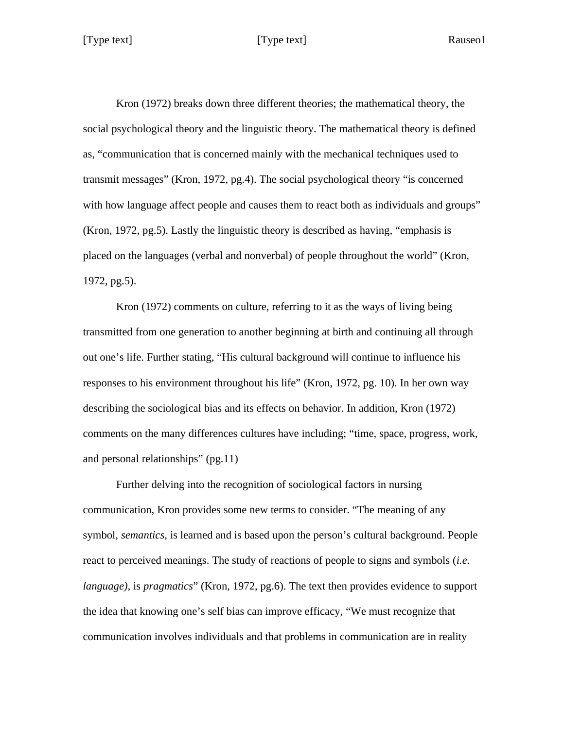Kron (1972) breaks down three different theories; the mathematical theory, the social psychological theory and the linguistic theory. The mathematical theory is defined as, "communication that is concerned mainly with the mechanical techniques used to transmit messages" (Kron, 1972, pg.4). The social psychological theory "is concerned with how language affect people and causes them to react both as individuals and groups" (Kron, 1972, pg.5). Lastly the linguistic theory is described as having, "emphasis is placed on the languages (verbal and nonverbal) of people throughout the world" (Kron, 1972, pg.5).

Kron (1972) comments on culture, referring to it as the ways of living being transmitted from one generation to another beginning at birth and continuing all through out one's life. Further stating, "His cultural background will continue to influence his responses to his environment throughout his life" (Kron, 1972, pg. 10). In her own way describing the sociological bias and its effects on behavior. In addition, Kron (1972) comments on the many differences cultures have including; "time, space, progress, work, and personal relationships" (pg.11)

Further delving into the recognition of sociological factors in nursing communication, Kron provides some new terms to consider. "The meaning of any symbol, *semantics,* is learned and is based upon the person's cultural background. People react to perceived meanings. The study of reactions of people to signs and symbols (*i.e. language),* is *pragmatics*" (Kron, 1972, pg.6). The text then provides evidence to support the idea that knowing one's self bias can improve efficacy, "We must recognize that communication involves individuals and that problems in communication are in reality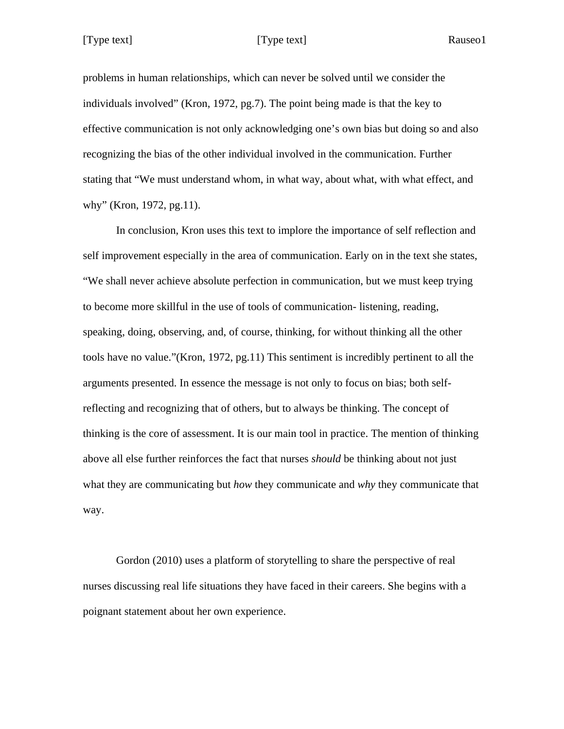problems in human relationships, which can never be solved until we consider the individuals involved" (Kron, 1972, pg.7). The point being made is that the key to effective communication is not only acknowledging one's own bias but doing so and also recognizing the bias of the other individual involved in the communication. Further stating that "We must understand whom, in what way, about what, with what effect, and why" (Kron, 1972, pg.11).

In conclusion, Kron uses this text to implore the importance of self reflection and self improvement especially in the area of communication. Early on in the text she states, "We shall never achieve absolute perfection in communication, but we must keep trying to become more skillful in the use of tools of communication- listening, reading, speaking, doing, observing, and, of course, thinking, for without thinking all the other tools have no value."(Kron, 1972, pg.11) This sentiment is incredibly pertinent to all the arguments presented. In essence the message is not only to focus on bias; both selfreflecting and recognizing that of others, but to always be thinking. The concept of thinking is the core of assessment. It is our main tool in practice. The mention of thinking above all else further reinforces the fact that nurses *should* be thinking about not just what they are communicating but *how* they communicate and *why* they communicate that way.

Gordon (2010) uses a platform of storytelling to share the perspective of real nurses discussing real life situations they have faced in their careers. She begins with a poignant statement about her own experience.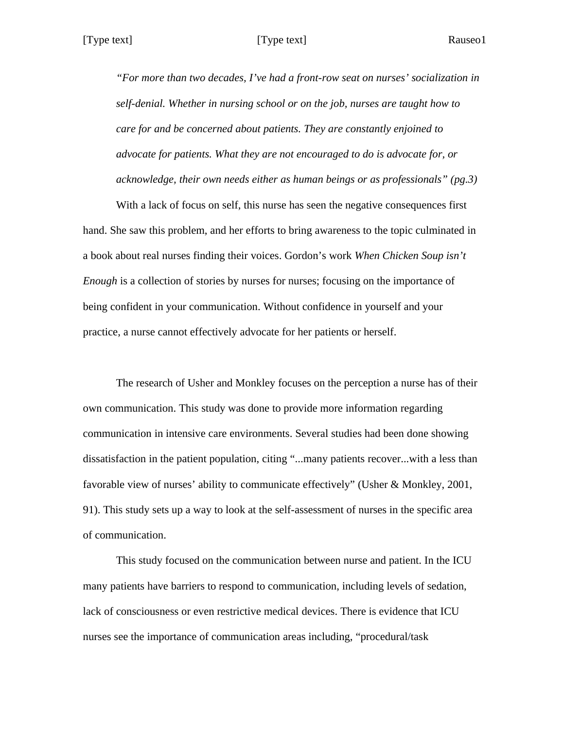*"For more than two decades, I've had a front-row seat on nurses' socialization in self-denial. Whether in nursing school or on the job, nurses are taught how to care for and be concerned about patients. They are constantly enjoined to advocate for patients. What they are not encouraged to do is advocate for, or acknowledge, their own needs either as human beings or as professionals" (pg.3)*

With a lack of focus on self, this nurse has seen the negative consequences first hand. She saw this problem, and her efforts to bring awareness to the topic culminated in a book about real nurses finding their voices. Gordon's work *When Chicken Soup isn't Enough* is a collection of stories by nurses for nurses; focusing on the importance of being confident in your communication. Without confidence in yourself and your practice, a nurse cannot effectively advocate for her patients or herself.

The research of Usher and Monkley focuses on the perception a nurse has of their own communication. This study was done to provide more information regarding communication in intensive care environments. Several studies had been done showing dissatisfaction in the patient population, citing "...many patients recover...with a less than favorable view of nurses' ability to communicate effectively" (Usher & Monkley, 2001, 91). This study sets up a way to look at the self-assessment of nurses in the specific area of communication.

This study focused on the communication between nurse and patient. In the ICU many patients have barriers to respond to communication, including levels of sedation, lack of consciousness or even restrictive medical devices. There is evidence that ICU nurses see the importance of communication areas including, "procedural/task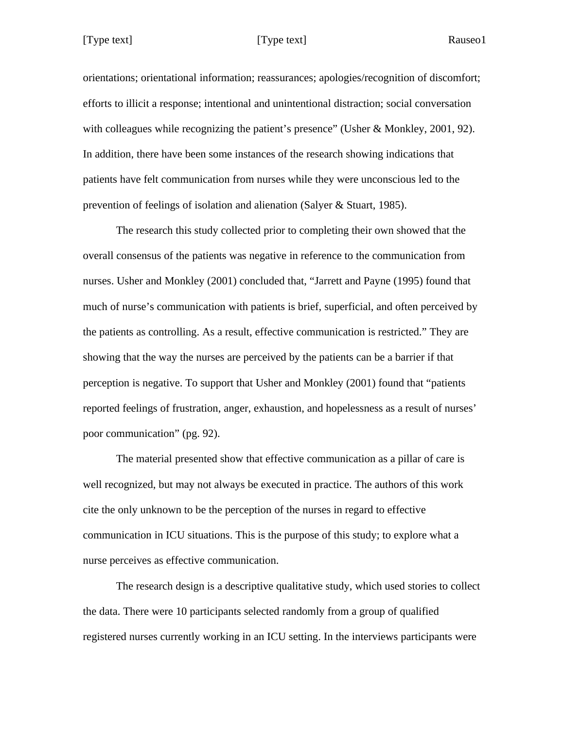orientations; orientational information; reassurances; apologies/recognition of discomfort; efforts to illicit a response; intentional and unintentional distraction; social conversation with colleagues while recognizing the patient's presence" (Usher & Monkley, 2001, 92). In addition, there have been some instances of the research showing indications that patients have felt communication from nurses while they were unconscious led to the prevention of feelings of isolation and alienation (Salyer & Stuart, 1985).

The research this study collected prior to completing their own showed that the overall consensus of the patients was negative in reference to the communication from nurses. Usher and Monkley (2001) concluded that, "Jarrett and Payne (1995) found that much of nurse's communication with patients is brief, superficial, and often perceived by the patients as controlling. As a result, effective communication is restricted." They are showing that the way the nurses are perceived by the patients can be a barrier if that perception is negative. To support that Usher and Monkley (2001) found that "patients reported feelings of frustration, anger, exhaustion, and hopelessness as a result of nurses' poor communication" (pg. 92).

The material presented show that effective communication as a pillar of care is well recognized, but may not always be executed in practice. The authors of this work cite the only unknown to be the perception of the nurses in regard to effective communication in ICU situations. This is the purpose of this study; to explore what a nurse perceives as effective communication.

The research design is a descriptive qualitative study, which used stories to collect the data. There were 10 participants selected randomly from a group of qualified registered nurses currently working in an ICU setting. In the interviews participants were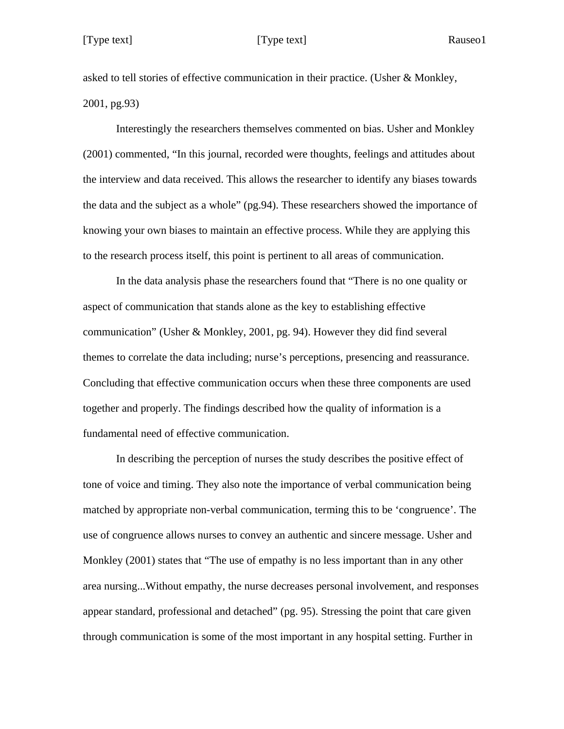asked to tell stories of effective communication in their practice. (Usher & Monkley, 2001, pg.93)

Interestingly the researchers themselves commented on bias. Usher and Monkley (2001) commented, "In this journal, recorded were thoughts, feelings and attitudes about the interview and data received. This allows the researcher to identify any biases towards the data and the subject as a whole" (pg.94). These researchers showed the importance of knowing your own biases to maintain an effective process. While they are applying this to the research process itself, this point is pertinent to all areas of communication.

In the data analysis phase the researchers found that "There is no one quality or aspect of communication that stands alone as the key to establishing effective communication" (Usher & Monkley, 2001, pg. 94). However they did find several themes to correlate the data including; nurse's perceptions, presencing and reassurance. Concluding that effective communication occurs when these three components are used together and properly. The findings described how the quality of information is a fundamental need of effective communication.

In describing the perception of nurses the study describes the positive effect of tone of voice and timing. They also note the importance of verbal communication being matched by appropriate non-verbal communication, terming this to be 'congruence'. The use of congruence allows nurses to convey an authentic and sincere message. Usher and Monkley (2001) states that "The use of empathy is no less important than in any other area nursing...Without empathy, the nurse decreases personal involvement, and responses appear standard, professional and detached" (pg. 95). Stressing the point that care given through communication is some of the most important in any hospital setting. Further in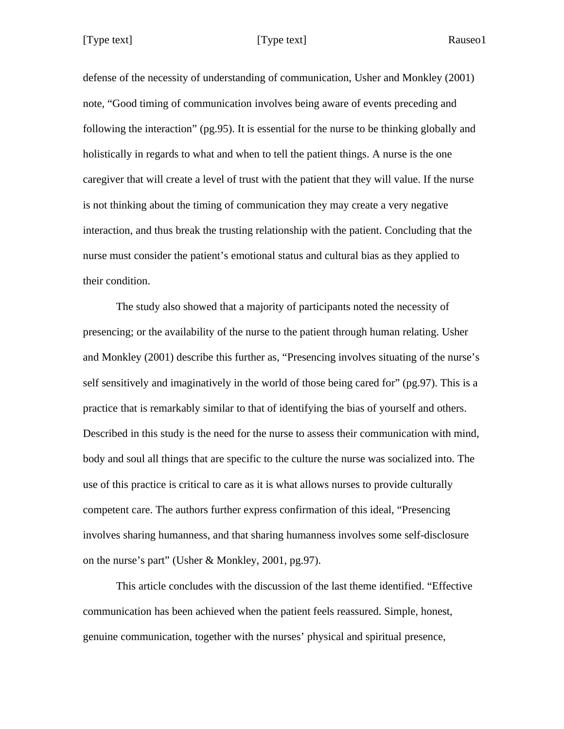[Type text] [Type text]

Rauseo1

defense of the necessity of understanding of communication, Usher and Monkley (2001) note, "Good timing of communication involves being aware of events preceding and following the interaction" (pg.95). It is essential for the nurse to be thinking globally and holistically in regards to what and when to tell the patient things. A nurse is the one caregiver that will create a level of trust with the patient that they will value. If the nurse is not thinking about the timing of communication they may create a very negative interaction, and thus break the trusting relationship with the patient. Concluding that the nurse must consider the patient's emotional status and cultural bias as they applied to their condition.

The study also showed that a majority of participants noted the necessity of presencing; or the availability of the nurse to the patient through human relating. Usher and Monkley (2001) describe this further as, "Presencing involves situating of the nurse's self sensitively and imaginatively in the world of those being cared for" (pg.97). This is a practice that is remarkably similar to that of identifying the bias of yourself and others. Described in this study is the need for the nurse to assess their communication with mind, body and soul all things that are specific to the culture the nurse was socialized into. The use of this practice is critical to care as it is what allows nurses to provide culturally competent care. The authors further express confirmation of this ideal, "Presencing involves sharing humanness, and that sharing humanness involves some self-disclosure on the nurse's part" (Usher & Monkley, 2001, pg.97).

This article concludes with the discussion of the last theme identified. "Effective communication has been achieved when the patient feels reassured. Simple, honest, genuine communication, together with the nurses' physical and spiritual presence,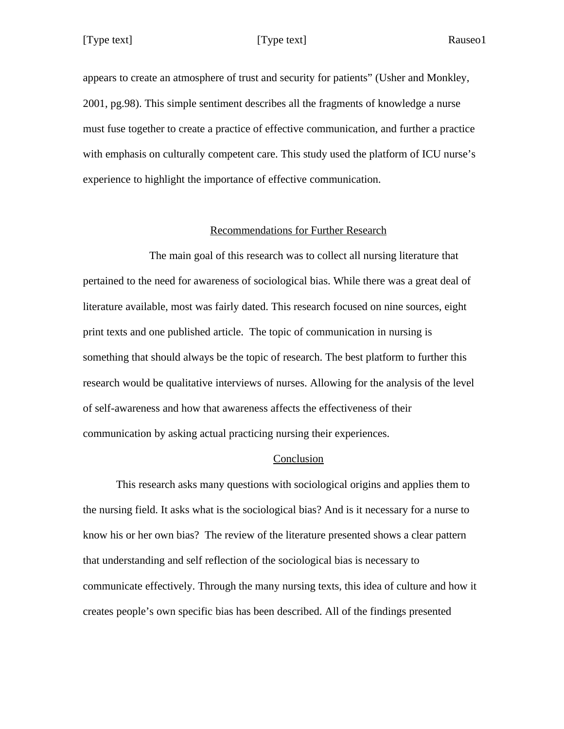appears to create an atmosphere of trust and security for patients" (Usher and Monkley, 2001, pg.98). This simple sentiment describes all the fragments of knowledge a nurse must fuse together to create a practice of effective communication, and further a practice with emphasis on culturally competent care. This study used the platform of ICU nurse's experience to highlight the importance of effective communication.

### Recommendations for Further Research

The main goal of this research was to collect all nursing literature that pertained to the need for awareness of sociological bias. While there was a great deal of literature available, most was fairly dated. This research focused on nine sources, eight print texts and one published article. The topic of communication in nursing is something that should always be the topic of research. The best platform to further this research would be qualitative interviews of nurses. Allowing for the analysis of the level of self-awareness and how that awareness affects the effectiveness of their communication by asking actual practicing nursing their experiences.

### Conclusion

This research asks many questions with sociological origins and applies them to the nursing field. It asks what is the sociological bias? And is it necessary for a nurse to know his or her own bias? The review of the literature presented shows a clear pattern that understanding and self reflection of the sociological bias is necessary to communicate effectively. Through the many nursing texts, this idea of culture and how it creates people's own specific bias has been described. All of the findings presented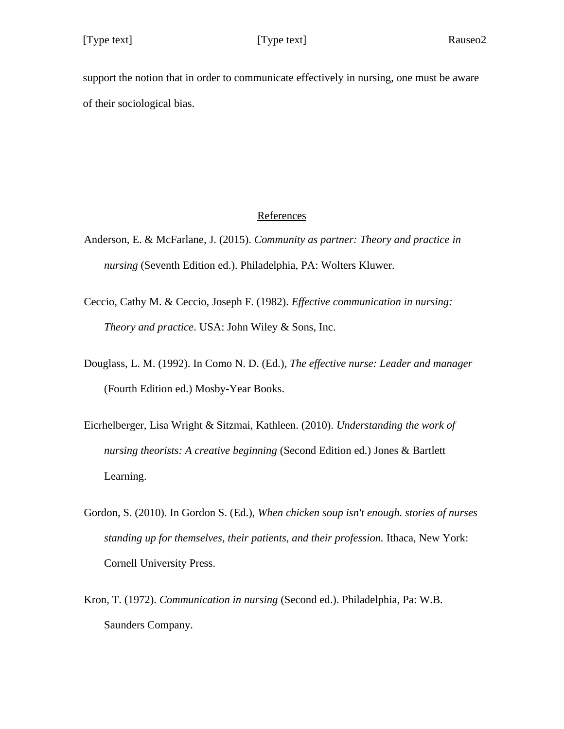support the notion that in order to communicate effectively in nursing, one must be aware of their sociological bias.

## References

- Anderson, E. & McFarlane, J. (2015). *Community as partner: Theory and practice in nursing* (Seventh Edition ed.). Philadelphia, PA: Wolters Kluwer.
- Ceccio, Cathy M. & Ceccio, Joseph F. (1982). *Effective communication in nursing: Theory and practice*. USA: John Wiley & Sons, Inc.
- Douglass, L. M. (1992). In Como N. D. (Ed.), *The effective nurse: Leader and manager* (Fourth Edition ed.) Mosby-Year Books.
- Eicrhelberger, Lisa Wright & Sitzmai, Kathleen. (2010). *Understanding the work of nursing theorists: A creative beginning* (Second Edition ed.) Jones & Bartlett Learning.
- Gordon, S. (2010). In Gordon S. (Ed.), *When chicken soup isn't enough. stories of nurses standing up for themselves, their patients, and their profession.* Ithaca, New York: Cornell University Press.
- Kron, T. (1972). *Communication in nursing* (Second ed.). Philadelphia, Pa: W.B. Saunders Company.